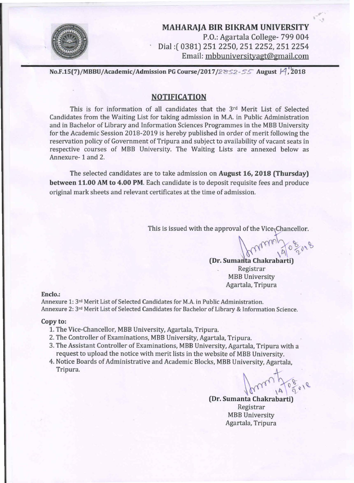

MAHARAJA BIR BIKRAM UNIVERSITY P.O.: Agartala College- 799 004 Dial:( 0381) 251 2250,2512252,2512254 Email: mbbuniversityagt@gmail.com

No.F.15(7)/MBBU/Academic/Admission PG Course/2017/2852-55 August  $\mathcal{A}$ , 2018

#### NOTIFICATION

This is for information of all candidates that the 3<sup>rd</sup> Merit List of Selected Candidates from the Waiting List for taking admission in M.A. in Public Administration and in Bachelor of Library and Information Sciences Programmes in the MBB University for the Academic Session 2018-2019 is hereby published in order of merit following the reservation policy of Government of Tripura and subject to availability of vacant seats in respective courses of MBB University. The Waiting Lists are annexed below as Annexure- 1 and 2.

The selected candidates are to take admission on August 16, 2018 (Thursday) between 11.00 AM to 4.00 PM. Each candidate is to deposit requisite fees and produce original mark sheets and relevant certificates at the time of admission.

This is issued with the approval of the Vice<sub>5</sub>Chancellor.

e approval of the Vice-Chancellor.<br> **(Dr. Sumanta Chakrabarti)** 

Registrar MBB University Agartala, Tripura

Enclo.:

Annexure 1: 3<sup>rd</sup> Merit List of Selected Candidates for M.A. in Public Administration. Annexure 2: 3<sup>rd</sup> Merit List of Selected Candidates for Bachelor of Library & Information Science.

#### Copy to:

- 1. The Vice-Chancellor, MBB University, Agartala, Tripura.
- 2. The Controller of Examinations, MBB University, Agartala, Tripura.
- 3. The Assistant Controller of Examinations, MBB University, Agartala, Tripura with a request to upload the notice with merit lists in the website of MBB University.
- 4. Notice Boards of Administrative and Academic Blocks, MBB University, Agartala, Tripura.

 $10, 14, 9$ 

(Dr. Sumanta Chakrabarti) Registrar MBB University Agartala, Tripura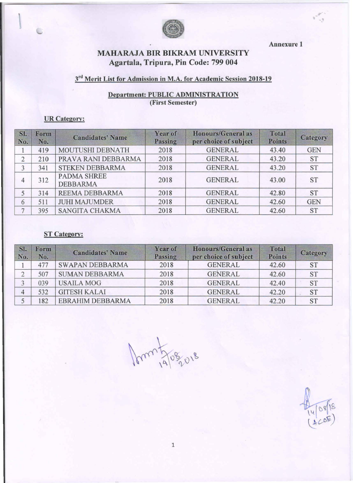

Annexure 1

, ' II

# MAHARAJA BIR BIKRAM UNIVERSITY Agartala, Tripura, Pin Code: 799 004

### $3<sup>rd</sup>$  Merit List for Admission in M.A. for Academic Session 2018-19

# Department: PUBLIC ADMINISTRATION (First Semester)

#### UR Category:

| SI.<br>No.     | Form<br>No. | <b>Candidates' Name</b>               | Year of<br>Passing | <b>Honours/General as</b><br>per choice of subject | <b>Total</b><br><b>Points</b> | Category   |
|----------------|-------------|---------------------------------------|--------------------|----------------------------------------------------|-------------------------------|------------|
|                | 419         | <b>MOUTUSHI DEBNATH</b>               | 2018               | <b>GENERAL</b>                                     | 43.40                         | <b>GEN</b> |
| $\overline{2}$ | 210         | PRAVA RANI DEBBARMA                   | 2018               | <b>GENERAL</b>                                     | 43.20                         | <b>ST</b>  |
| 3              | 341         | <b>STEKEN DEBBARMA</b>                | 2018               | <b>GENERAL</b>                                     | 43.20                         | <b>ST</b>  |
| 4              | 312         | <b>PADMA SHREE</b><br><b>DEBBARMA</b> | 2018               | <b>GENERAL</b>                                     | 43.00                         | <b>ST</b>  |
|                | 314         | REEMA DEBBARMA                        | 2018               | <b>GENERAL</b>                                     | 42.80                         | <b>ST</b>  |
| 6              | 511         | <b>JUHI MAJUMDER</b>                  | 2018               | <b>GENERAL</b>                                     | 42.60                         | <b>GEN</b> |
| ⇁              | 395         | <b>SANGITA CHAKMA</b>                 | 2018               | <b>GENERAL</b>                                     | 42.60                         | <b>ST</b>  |

### **ST Category:**

| SI.<br>No.     | Form<br>No. | <b>Candidates' Name</b> | Year of<br>Passing | <b>Honours/General as</b><br>per choice of subject | <b>Total</b><br><b>Points</b> | Category  |
|----------------|-------------|-------------------------|--------------------|----------------------------------------------------|-------------------------------|-----------|
|                | 477         | <b>SWAPAN DEBBARMA</b>  | 2018               | <b>GENERAL</b>                                     | 42.60                         | <b>ST</b> |
|                | 507         | <b>SUMAN DEBBARMA</b>   | 2018               | <b>GENERAL</b>                                     | 42.60                         | <b>ST</b> |
|                | 039         | <b>USAILA MOG</b>       | 2018               | <b>GENERAL</b>                                     | 42.40                         | <b>ST</b> |
| $\overline{4}$ | 532         | <b>GITESH KALAI</b>     | 2018               | <b>GENERAL</b>                                     | 42.20                         | <b>ST</b> |
|                | 182         | EBRAHIM DEBBARMA        | 2018               | <b>GENERAL</b>                                     | 42.20                         | <b>ST</b> |

mm 5/08/018